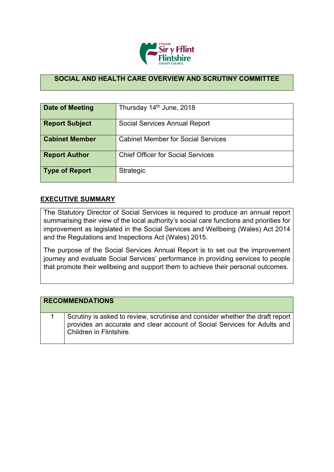

## **SOCIAL AND HEALTH CARE OVERVIEW AND SCRUTINY COMMITTEE**

| <b>Date of Meeting</b> | Thursday 14th June, 2018                  |
|------------------------|-------------------------------------------|
| <b>Report Subject</b>  | Social Services Annual Report             |
| <b>Cabinet Member</b>  | <b>Cabinet Member for Social Services</b> |
| <b>Report Author</b>   | <b>Chief Officer for Social Services</b>  |
| <b>Type of Report</b>  | <b>Strategic</b>                          |

## **EXECUTIVE SUMMARY**

The Statutory Director of Social Services is required to produce an annual report summarising their view of the local authority's social care functions and priorities for improvement as legislated in the Social Services and Wellbeing (Wales) Act 2014 and the Regulations and Inspections Act (Wales) 2015.

The purpose of the Social Services Annual Report is to set out the improvement journey and evaluate Social Services' performance in providing services to people that promote their wellbeing and support them to achieve their personal outcomes.

| <b>RECOMMENDATIONS</b>                                                                                                                                                               |
|--------------------------------------------------------------------------------------------------------------------------------------------------------------------------------------|
| Scrutiny is asked to review, scrutinise and consider whether the draft report<br>provides an accurate and clear account of Social Services for Adults and<br>Children in Flintshire. |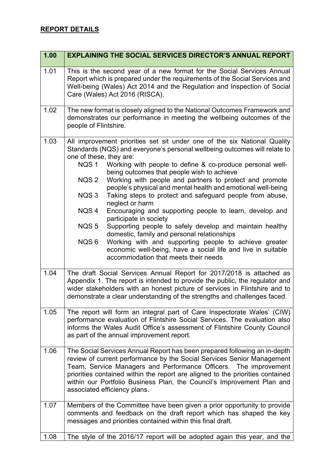## **REPORT DETAILS**

| 1.00 | <b>EXPLAINING THE SOCIAL SERVICES DIRECTOR'S ANNUAL REPORT</b>                                                                                                                                                                                                                                                                                                                                                                                                                                                                                                                                                                                                                                                                                                                                                                                                                                                                                               |
|------|--------------------------------------------------------------------------------------------------------------------------------------------------------------------------------------------------------------------------------------------------------------------------------------------------------------------------------------------------------------------------------------------------------------------------------------------------------------------------------------------------------------------------------------------------------------------------------------------------------------------------------------------------------------------------------------------------------------------------------------------------------------------------------------------------------------------------------------------------------------------------------------------------------------------------------------------------------------|
| 1.01 | This is the second year of a new format for the Social Services Annual<br>Report which is prepared under the requirements of the Social Services and<br>Well-being (Wales) Act 2014 and the Regulation and Inspection of Social<br>Care (Wales) Act 2016 (RISCA).                                                                                                                                                                                                                                                                                                                                                                                                                                                                                                                                                                                                                                                                                            |
| 1.02 | The new format is closely aligned to the National Outcomes Framework and<br>demonstrates our performance in meeting the wellbeing outcomes of the<br>people of Flintshire.                                                                                                                                                                                                                                                                                                                                                                                                                                                                                                                                                                                                                                                                                                                                                                                   |
| 1.03 | All improvement priorities set sit under one of the six National Quality<br>Standards (NQS) and everyone's personal wellbeing outcomes will relate to<br>one of these, they are:<br>NQS 1<br>Working with people to define & co-produce personal well-<br>being outcomes that people wish to achieve<br>NQS 2<br>Working with people and partners to protect and promote<br>people's physical and mental health and emotional well-being<br>NQS3<br>Taking steps to protect and safeguard people from abuse,<br>neglect or harm<br>NQS <sub>4</sub><br>Encouraging and supporting people to learn, develop and<br>participate in society<br>NQS <sub>5</sub><br>Supporting people to safely develop and maintain healthy<br>domestic, family and personal relationships<br>NQS <sub>6</sub><br>Working with and supporting people to achieve greater<br>economic well-being, have a social life and live in suitable<br>accommodation that meets their needs |
| 1.04 | The draft Social Services Annual Report for 2017/2018 is attached as<br>Appendix 1. The report is intended to provide the public, the regulator and<br>wider stakeholders with an honest picture of services in Flintshire and to<br>demonstrate a clear understanding of the strengths and challenges faced.                                                                                                                                                                                                                                                                                                                                                                                                                                                                                                                                                                                                                                                |
| 1.05 | The report will form an integral part of Care Inspectorate Wales' (CIW)<br>performance evaluation of Flintshire Social Services. The evaluation also<br>informs the Wales Audit Office's assessment of Flintshire County Council<br>as part of the annual improvement report.                                                                                                                                                                                                                                                                                                                                                                                                                                                                                                                                                                                                                                                                                |
| 1.06 | The Social Services Annual Report has been prepared following an in-depth<br>review of current performance by the Social Services Senior Management<br>Team, Service Managers and Performance Officers. The improvement<br>priorities contained within the report are aligned to the priorities contained<br>within our Portfolio Business Plan, the Council's Improvement Plan and<br>associated efficiency plans.                                                                                                                                                                                                                                                                                                                                                                                                                                                                                                                                          |
| 1.07 | Members of the Committee have been given a prior opportunity to provide<br>comments and feedback on the draft report which has shaped the key<br>messages and priorities contained within this final draft.                                                                                                                                                                                                                                                                                                                                                                                                                                                                                                                                                                                                                                                                                                                                                  |
| 1.08 | The style of the 2016/17 report will be adopted again this year, and the                                                                                                                                                                                                                                                                                                                                                                                                                                                                                                                                                                                                                                                                                                                                                                                                                                                                                     |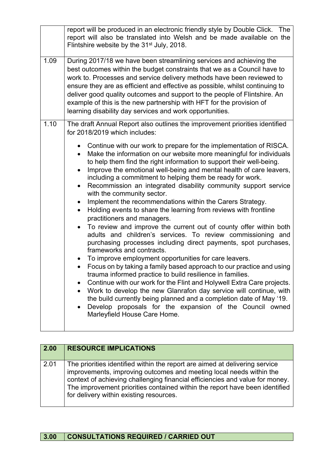|      | report will be produced in an electronic friendly style by Double Click. The<br>report will also be translated into Welsh and be made available on the<br>Flintshire website by the 31 <sup>st</sup> July, 2018.                                                                                                                                                                                                                                                                                                                                                                                                                                                                                                                                                                                                                                                                                                                                                                                                                                                                                                                                                                                                                                                                                                                                                                                                                                                       |
|------|------------------------------------------------------------------------------------------------------------------------------------------------------------------------------------------------------------------------------------------------------------------------------------------------------------------------------------------------------------------------------------------------------------------------------------------------------------------------------------------------------------------------------------------------------------------------------------------------------------------------------------------------------------------------------------------------------------------------------------------------------------------------------------------------------------------------------------------------------------------------------------------------------------------------------------------------------------------------------------------------------------------------------------------------------------------------------------------------------------------------------------------------------------------------------------------------------------------------------------------------------------------------------------------------------------------------------------------------------------------------------------------------------------------------------------------------------------------------|
| 1.09 | During 2017/18 we have been streamlining services and achieving the<br>best outcomes within the budget constraints that we as a Council have to<br>work to. Processes and service delivery methods have been reviewed to<br>ensure they are as efficient and effective as possible, whilst continuing to<br>deliver good quality outcomes and support to the people of Flintshire. An<br>example of this is the new partnership with HFT for the provision of<br>learning disability day services and work opportunities.                                                                                                                                                                                                                                                                                                                                                                                                                                                                                                                                                                                                                                                                                                                                                                                                                                                                                                                                              |
| 1.10 | The draft Annual Report also outlines the improvement priorities identified<br>for 2018/2019 which includes:                                                                                                                                                                                                                                                                                                                                                                                                                                                                                                                                                                                                                                                                                                                                                                                                                                                                                                                                                                                                                                                                                                                                                                                                                                                                                                                                                           |
|      | • Continue with our work to prepare for the implementation of RISCA.<br>Make the information on our website more meaningful for individuals<br>$\bullet$<br>to help them find the right information to support their well-being.<br>Improve the emotional well-being and mental health of care leavers,<br>$\bullet$<br>including a commitment to helping them be ready for work.<br>Recommission an integrated disability community support service<br>$\bullet$<br>with the community sector.<br>Implement the recommendations within the Carers Strategy.<br>$\bullet$<br>Holding events to share the learning from reviews with frontline<br>$\bullet$<br>practitioners and managers.<br>To review and improve the current out of county offer within both<br>$\bullet$<br>adults and children's services. To review commissioning and<br>purchasing processes including direct payments, spot purchases,<br>frameworks and contracts.<br>To improve employment opportunities for care leavers.<br>$\bullet$<br>Focus on by taking a family based approach to our practice and using<br>trauma informed practice to build resilience in families<br>Continue with our work for the Flint and Holywell Extra Care projects.<br>Work to develop the new Glanrafon day service will continue, with<br>the build currently being planned and a completion date of May '19.<br>Develop proposals for the expansion of the Council owned<br>Marleyfield House Care Home. |

| 2.00 | <b>RESOURCE IMPLICATIONS</b>                                                                                                                                                                                                                                                                                                                                 |
|------|--------------------------------------------------------------------------------------------------------------------------------------------------------------------------------------------------------------------------------------------------------------------------------------------------------------------------------------------------------------|
| 2.01 | The priorities identified within the report are aimed at delivering service<br>improvements, improving outcomes and meeting local needs within the<br>context of achieving challenging financial efficiencies and value for money.<br>The improvement priorities contained within the report have been identified<br>for delivery within existing resources. |